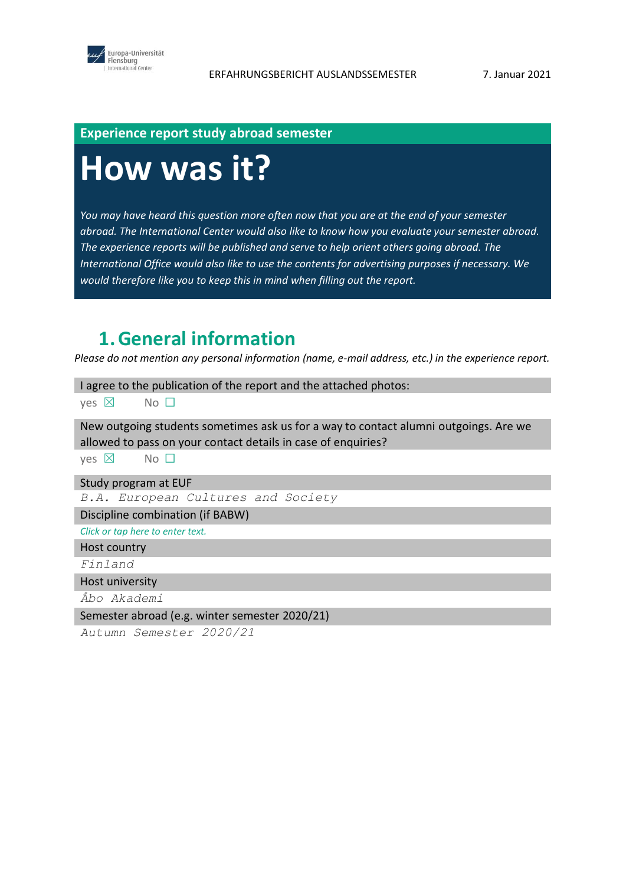

#### **Experience report study abroad semester**

# **How was it?**

*You may have heard this question more often now that you are at the end of your semester abroad. The International Center would also like to know how you evaluate your semester abroad. The experience reports will be published and serve to help orient others going abroad. The International Office would also like to use the contents for advertising purposes if necessary. We would therefore like you to keep this in mind when filling out the report.*

## **1.General information**

*Please do not mention any personal information (name, e-mail address, etc.) in the experience report.*

I agree to the publication of the report and the attached photos:

ves ⊠ No □

New outgoing students sometimes ask us for a way to contact alumni outgoings. Are we allowed to pass on your contact details in case of enquiries?

yes  $\boxtimes$  No  $\square$ 

Study program at EUF

*B.A. European Cultures and Society*

Discipline combination (if BABW)

*Click or tap here to enter text.*

Host country

*Finland*

Host university

*Åbo Akademi*

Semester abroad (e.g. winter semester 2020/21)

*Autumn Semester 2020/21*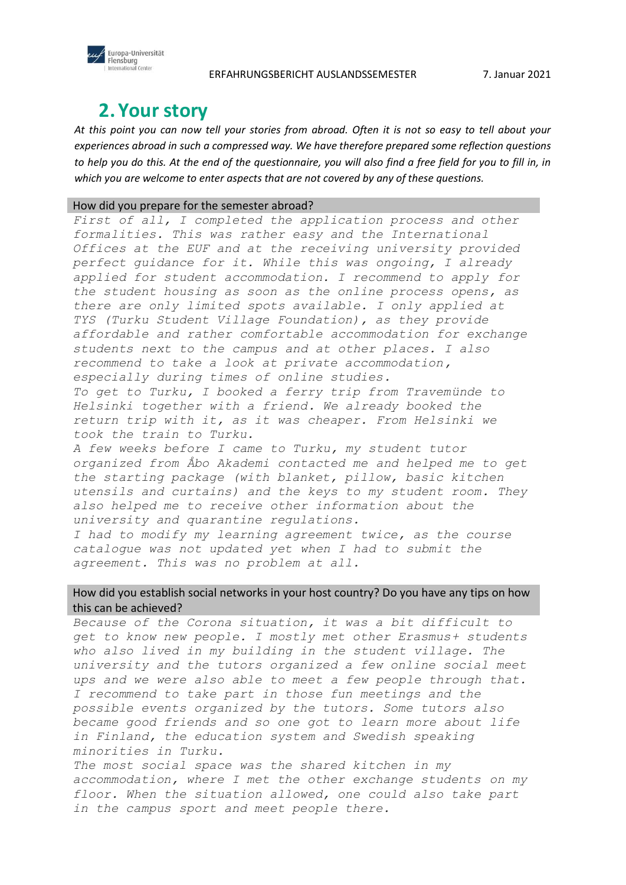



### **2.Your story**

*At this point you can now tell your stories from abroad. Often it is not so easy to tell about your experiences abroad in such a compressed way. We have therefore prepared some reflection questions to help you do this. At the end of the questionnaire, you will also find a free field for you to fill in, in which you are welcome to enter aspects that are not covered by any of these questions.*

#### How did you prepare for the semester abroad?

First of all, I completed the application process and other *formalities. This was rather easy and the International Offices at the EUF and at the receiving university provided perfect guidance for it. While this was ongoing, I already applied for student accommodation. I recommend to apply for the student housing as soon as the online process opens, as there are only limited spots available. I only applied at TYS (Turku Student Village Foundation), as they provide affordable and rather comfortable accommodation for exchange students next to the campus and at other places. I also recommend to take a look at private accommodation, especially during times of online studies.* 

*To get to Turku, I booked a ferry trip from Travemünde to Helsinki together with a friend. We already booked the return trip with it, as it was cheaper. From Helsinki we took the train to Turku.*

*A few weeks before I came to Turku, my student tutor organized from Åbo Akademi contacted me and helped me to get the starting package (with blanket, pillow, basic kitchen utensils and curtains) and the keys to my student room. They also helped me to receive other information about the university and quarantine regulations.*

*I had to modify my learning agreement twice, as the course catalogue was not updated yet when I had to submit the agreement. This was no problem at all.*

#### How did you establish social networks in your host country? Do you have any tips on how this can be achieved?

*Because of the Corona situation, it was a bit difficult to get to know new people. I mostly met other Erasmus+ students who also lived in my building in the student village. The university and the tutors organized a few online social meet ups and we were also able to meet a few people through that. I recommend to take part in those fun meetings and the possible events organized by the tutors. Some tutors also became good friends and so one got to learn more about life in Finland, the education system and Swedish speaking minorities in Turku.*

*The most social space was the shared kitchen in my accommodation, where I met the other exchange students on my floor. When the situation allowed, one could also take part in the campus sport and meet people there.*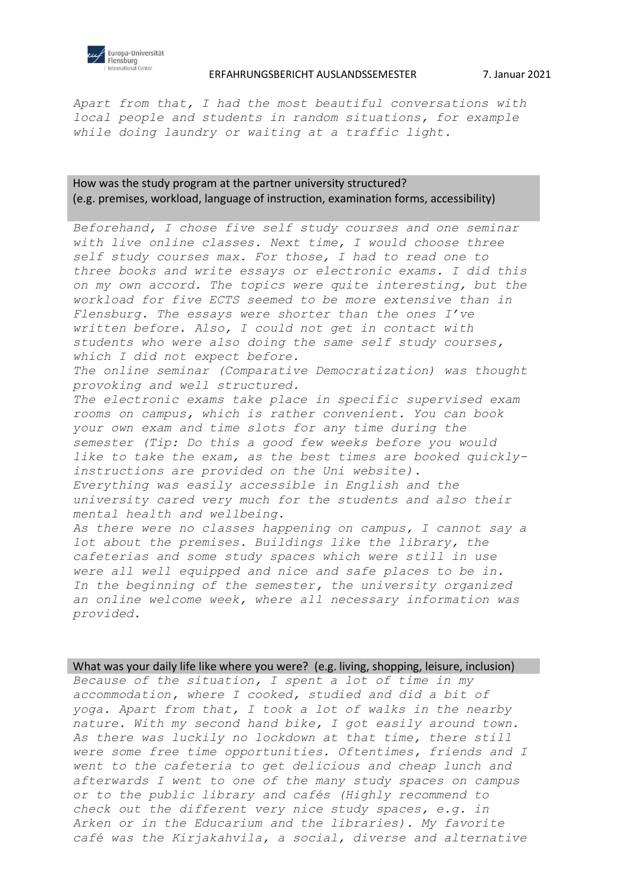

#### ERFAHRUNGSBERICHT AUSLANDSSEMESTER 7. Januar 2021

*Apart from that, I had the most beautiful conversations with local people and students in random situations, for example while doing laundry or waiting at a traffic light.* 

#### How was the study program at the partner university structured? (e.g. premises, workload, language of instruction, examination forms, accessibility)

*Beforehand, I chose five self study courses and one seminar with live online classes. Next time, I would choose three self study courses max. For those, I had to read one to three books and write essays or electronic exams. I did this on my own accord. The topics were quite interesting, but the workload for five ECTS seemed to be more extensive than in Flensburg. The essays were shorter than the ones I've written before. Also, I could not get in contact with students who were also doing the same self study courses, which I did not expect before. The online seminar (Comparative Democratization) was thought provoking and well structured. The electronic exams take place in specific supervised exam rooms on campus, which is rather convenient. You can book your own exam and time slots for any time during the semester (Tip: Do this a good few weeks before you would like to take the exam, as the best times are booked quicklyinstructions are provided on the Uni website). Everything was easily accessible in English and the university cared very much for the students and also their mental health and wellbeing. As there were no classes happening on campus, I cannot say a lot about the premises. Buildings like the library, the cafeterias and some study spaces which were still in use were all well equipped and nice and safe places to be in. In the beginning of the semester, the university organized an online welcome week, where all necessary information was provided.* 

What was your daily life like where you were? (e.g. living, shopping, leisure, inclusion) *Because of the situation, I spent a lot of time in my accommodation, where I cooked, studied and did a bit of yoga. Apart from that, I took a lot of walks in the nearby nature. With my second hand bike, I got easily around town. As there was luckily no lockdown at that time, there still were some free time opportunities. Oftentimes, friends and I went to the cafeteria to get delicious and cheap lunch and afterwards I went to one of the many study spaces on campus or to the public library and cafés (Highly recommend to check out the different very nice study spaces, e.g. in Arken or in the Educarium and the libraries). My favorite café was the Kirjakahvila, a social, diverse and alternative*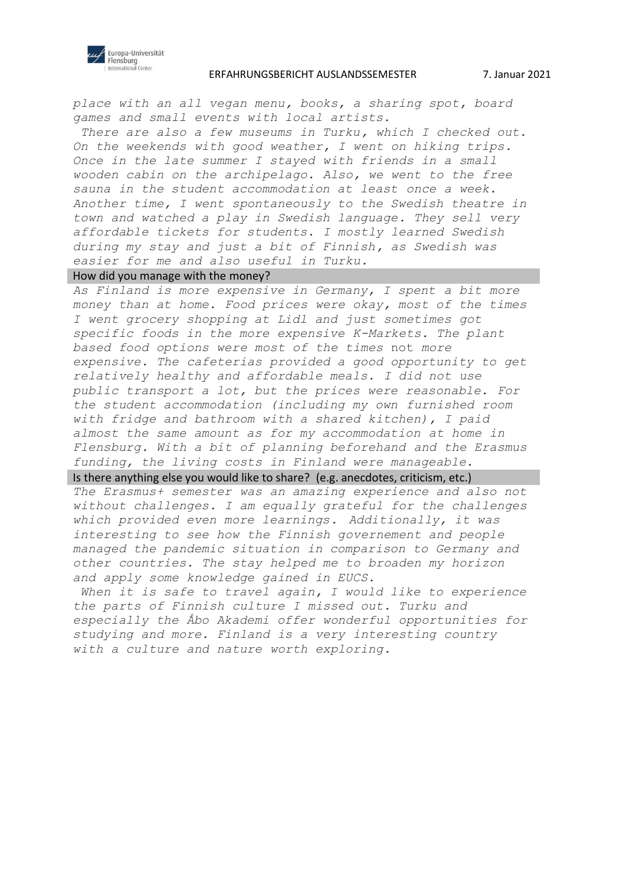

#### ERFAHRUNGSBERICHT AUSLANDSSEMESTER 7. Januar 2021

*place with an all vegan menu, books, a sharing spot, board games and small events with local artists.*

*There are also a few museums in Turku, which I checked out. On the weekends with good weather, I went on hiking trips. Once in the late summer I stayed with friends in a small wooden cabin on the archipelago. Also, we went to the free sauna in the student accommodation at least once a week. Another time, I went spontaneously to the Swedish theatre in town and watched a play in Swedish language. They sell very affordable tickets for students. I mostly learned Swedish during my stay and just a bit of Finnish, as Swedish was easier for me and also useful in Turku.* 

#### How did you manage with the money?

*As Finland is more expensive in Germany, I spent a bit more money than at home. Food prices were okay, most of the times I went grocery shopping at Lidl and just sometimes got specific foods in the more expensive K-Markets. The plant based food options were most of the times* not *more expensive. The cafeterias provided a good opportunity to get relatively healthy and affordable meals. I did not use public transport a lot, but the prices were reasonable. For the student accommodation (including my own furnished room with fridge and bathroom with a shared kitchen), I paid almost the same amount as for my accommodation at home in Flensburg. With a bit of planning beforehand and the Erasmus funding, the living costs in Finland were manageable.*

#### Is there anything else you would like to share? (e.g. anecdotes, criticism, etc.)

*The Erasmus+ semester was an amazing experience and also not without challenges. I am equally grateful for the challenges which provided even more learnings. Additionally, it was interesting to see how the Finnish governement and people managed the pandemic situation in comparison to Germany and other countries. The stay helped me to broaden my horizon and apply some knowledge gained in EUCS.* 

When it is safe to travel again, I would like to experience *the parts of Finnish culture I missed out. Turku and especially the Åbo Akademi offer wonderful opportunities for studying and more. Finland is a very interesting country with a culture and nature worth exploring.*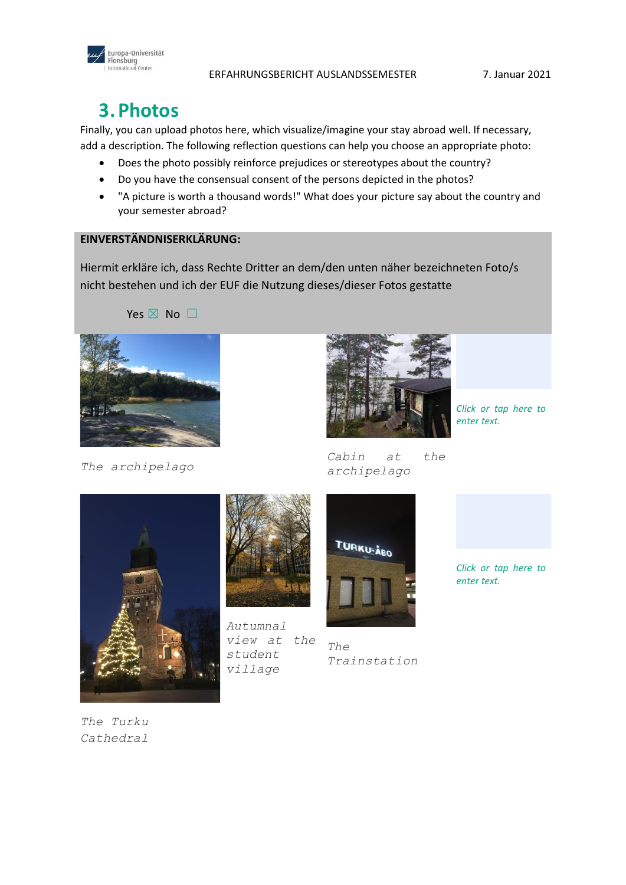



Europa-Universität Flensburg<br>International Center

Finally, you can upload photos here, which visualize/imagine your stay abroad well. If necessary, add a description. The following reflection questions can help you choose an appropriate photo:

- Does the photo possibly reinforce prejudices or stereotypes about the country?
- Do you have the consensual consent of the persons depicted in the photos?
- "A picture is worth a thousand words!" What does your picture say about the country and your semester abroad?

#### **EINVERSTÄNDNISERKLÄRUNG:**

Hiermit erkläre ich, dass Rechte Dritter an dem/den unten näher bezeichneten Foto/s nicht bestehen und ich der EUF die Nutzung dieses/dieser Fotos gestatte

Yes  $\times$  No  $\Box$ 



*The archipelago* 



*Cabin at the* 

*Click or tap here to enter text.*





*Autumnal view at the student village*



*archipelago*

*The Trainstation*

*Click or tap here to enter text.*

*The Turku Cathedral*